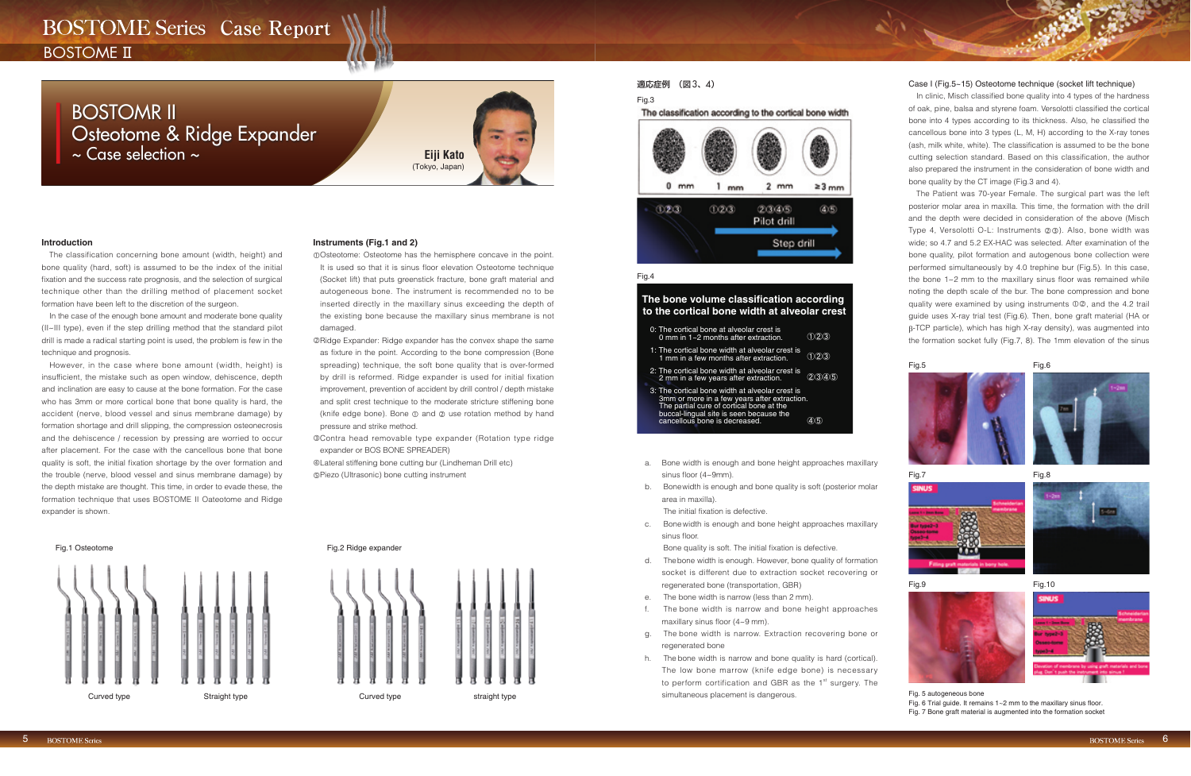# **BOSTOME Series Case Report**

**BOSTOME**<sub>II</sub>

# 適応症例 (図3、4)

#### Fig.3

The classification according to the cortical bone width



### Fig.4

### The bone volume classification according to the cortical bone width at alveolar crest

- c. Bone width is enough and bone height approaches maxillary sinus floor.
	- Bone quality is soft. The initial fixation is defective.
- d. Thebone width is enough. However, bone quality of formation socket is different due to extraction socket recovering or regenerated bone (transportation, GBR)
- e. The bone width is narrow (less than 2 mm).
- The bone width is narrow and bone height approaches maxillary sinus floor (4~9 mm).
- g. The bone width is narrow. Extraction recovering bone or regenerated bone
- h. The bone width is narrow and bone quality is hard (cortical). The low bone marrow (knife edge bone) is necessary to perform cortification and GBR as the 1<sup>st</sup> surgery. The Curved type Straight type Curved type simultaneous placement is dangerous. The Straight of the Straight of the Straight straight type simultaneous placement is dangerous. Fig. 5 autogeneous bone

#### Case I (Fig.5~15) Osteotome technique (socket lift technique)

- a. Bone width is enough and bone height approaches maxillary sinus floor (4~9mm).
- b. Bonewidth is enough and bone quality is soft (posterior molar area in maxilla).

The initial fixation is defective.

In clinic, Misch classified bone quality into 4 types of the hardness of oak, pine, balsa and styrene foam. Versolotti classified the cortical bone into 4 types according to its thickness. Also, he classified the cancellous bone into 3 types (L, M, H) according to the X-ray tones (ash, milk white, white). The classification is assumed to be the bone cutting selection standard. Based on this classification, the author also prepared the instrument in the consideration of bone width and bone quality by the CT image (Fig.3 and 4).

The Patient was 70-year Female. The surgical part was the left posterior molar area in maxilla. This time, the formation with the drill and the depth were decided in consideration of the above (Misch Type 4, Versolotti O-L: Instruments 23). Also, bone width was wide; so 4.7 and 5.2 EX-HAC was selected. After examination of the bone quality, pilot formation and autogenous bone collection were performed simultaneously by 4.0 trephine bur (Fig.5). In this case, the bone 1~2 mm to the maxillary sinus floor was remained while noting the depth scale of the bur. The bone compression and bone quality were examined by using instruments  $\mathbb{0} \mathbb{Q}$ , and the 4.2 trail guide uses X-ray trial test (Fig.6). Then, bone graft material (HA or -TCP particle), which has high X-ray density), was augmented into the formation socket fully (Fig.7, 8). The 1mm elevation of the sinus

#### Fig.5

#### Fig.7



#### $Fig.9$   $Fig.10$



Fig. 7 Bone graft material is augmented into the formation socket

The classification concerning bone amount (width, height) and bone quality (hard, soft) is assumed to be the index of the initial fixation and the success rate prognosis, and the selection of surgical technique other than the drilling method of placement socket formation have been left to the discretion of the surgeon.

In the case of the enough bone amount and moderate bone quality (II~III type), even if the step drilling method that the standard pilot drill is made a radical starting point is used, the problem is few in the technique and prognosis.

However, in the case where bone amount (width, height) is insufficient, the mistake such as open window, dehiscence, depth and inclination are easy to cause at the bone formation. For the case who has 3mm or more cortical bone that bone quality is hard, the accident (nerve, blood vessel and sinus membrane damage) by formation shortage and drill slipping, the compression osteonecrosis and the dehiscence / recession by pressing are worried to occur after placement. For the case with the cancellous bone that bone quality is soft, the initial fixation shortage by the over formation and the trouble (nerve, blood vessel and sinus membrane damage) by the depth mistake are thought. This time, in order to evade these, the formation technique that uses BOSTOME II Oateotome and Ridge expander is shown.

# **Instruments (Fig.1 and 2)**

- Osteotome: Osteotome has the hemisphere concave in the point. It is used so that it is sinus floor elevation Osteotome technique (Socket lift) that puts greenstick fracture, bone graft material and autogeneous bone. The instrument is recommended no to be inserted directly in the maxillary sinus exceeding the depth of the existing bone because the maxillary sinus membrane is not damaged.
- Ridge Expander: Ridge expander has the convex shape the same as fixture in the point. According to the bone compression (Bone spreading) technique, the soft bone quality that is over-formed by drill is reformed. Ridge expander is used for initial fixation improvement, prevention of accident by drill control / depth mistake and split crest technique to the moderate stricture stiffening bone (knife edge bone). Bone  $\mathbb O$  and  $\mathbb O$  use rotation method by hand pressure and strike method.
- Contra head removable type expander (Rotation type ridge expander or BOS BONE SPREADER)

Lateral stiffening bone cutting bur (Lindheman Drill etc) Piezo (Ultrasonic) bone cutting instrument





| 0: The cortical bone at alveolar crest is<br>0 mm in 1~2 months after extraction.                                                                                                                                       |           |
|-------------------------------------------------------------------------------------------------------------------------------------------------------------------------------------------------------------------------|-----------|
| 1: The cortical bone width at alveolar crest is<br>1 mm in a few months after extraction.                                                                                                                               | (1)(2)(3) |
| 2: The cortical bone width at alveolar crest is<br>2 mm in a few years after extraction.                                                                                                                                |           |
| 3: The cortical bone width at alveolar crest is<br>3mm or more in a few years after extraction.<br>The partial cure of cortical bone at the<br>buccal-lingual site is seen because the<br>cancellous bone is decreased. |           |











-6

# BOSTOMR II Osteotome & Ridge Expander ~ Case selection ~ **Eiji Kato**

(Tokyo, Japan)

# **Introduction**

Fig. 6 Trial guide. It remains  $1~2$  mm to the maxillary sinus floor.